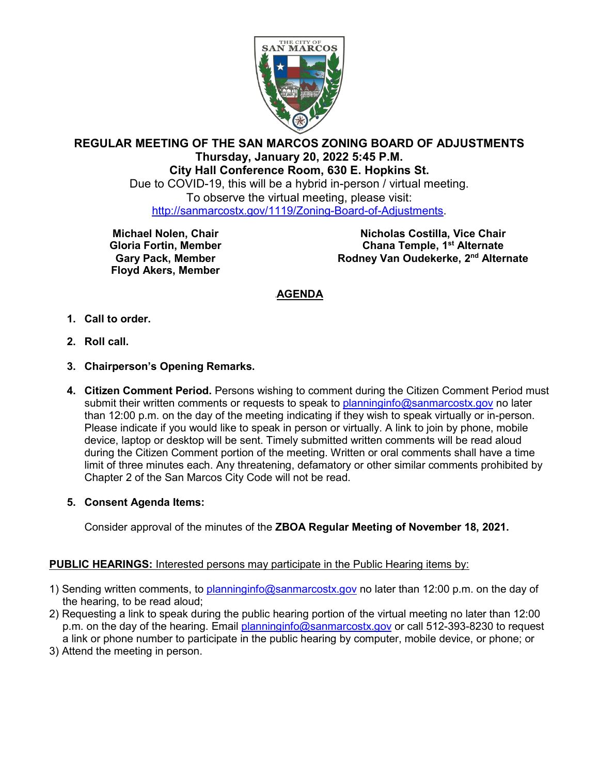

# **REGULAR MEETING OF THE SAN MARCOS ZONING BOARD OF ADJUSTMENTS Thursday, January 20, 2022 5:45 P.M. City Hall Conference Room, 630 E. Hopkins St.**

Due to COVID-19, this will be a hybrid in-person / virtual meeting. To observe the virtual meeting, please visit: [http://sanmarcostx.gov/1119/Zoning-Board-of-Adjustments.](http://sanmarcostx.gov/1119/Zoning-Board-of-Adjustments)

**Michael Nolen, Chair Gloria Fortin, Member Gary Pack, Member Floyd Akers, Member**

**Nicholas Costilla, Vice Chair Chana Temple, 1st Alternate Rodney Van Oudekerke, 2nd Alternate**

# <sup>U</sup>**AGENDA**

- **1. Call to order.**
- **2. Roll call.**
- **3. Chairperson's Opening Remarks.**
- **4. Citizen Comment Period.** Persons wishing to comment during the Citizen Comment Period must submit their written comments or requests to speak to [planninginfo@sanmarcostx.gov](mailto:planninginfo@sanmarcostx.gov) no later than 12:00 p.m. on the day of the meeting indicating if they wish to speak virtually or in-person. Please indicate if you would like to speak in person or virtually. A link to join by phone, mobile device, laptop or desktop will be sent. Timely submitted written comments will be read aloud during the Citizen Comment portion of the meeting. Written or oral comments shall have a time limit of three minutes each. Any threatening, defamatory or other similar comments prohibited by Chapter 2 of the San Marcos City Code will not be read.

### **5. Consent Agenda Items:**

Consider approval of the minutes of the **ZBOA Regular Meeting of November 18, 2021.**

### **PUBLIC HEARINGS:** Interested persons may participate in the Public Hearing items by:

- 1) Sending written comments, to [planninginfo@sanmarcostx.gov](mailto:planninginfo@sanmarcostx.gov) no later than 12:00 p.m. on the day of the hearing, to be read aloud;
- 2) Requesting a link to speak during the public hearing portion of the virtual meeting no later than 12:00 p.m. on the day of the hearing. Email [planninginfo@sanmarcostx.gov](mailto:planninginfo@sanmarcostx.gov) or call 512-393-8230 to request a link or phone number to participate in the public hearing by computer, mobile device, or phone; or
- 3) Attend the meeting in person.